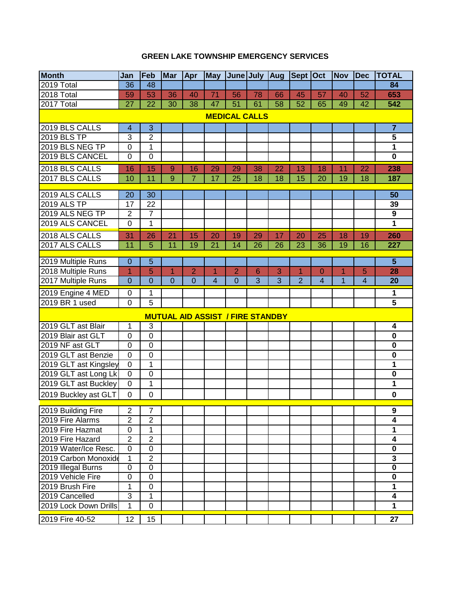## **GREEN LAKE TOWNSHIP EMERGENCY SERVICES**

| <b>Month</b>                       | Jan                     | Feb                     | <b>Mar</b>     | Apr            | <b>May</b>                              | June July       |                | Aug             | Sept Oct       |                | <b>Nov</b> | <b>Dec</b>     | <b>TOTAL</b>                   |
|------------------------------------|-------------------------|-------------------------|----------------|----------------|-----------------------------------------|-----------------|----------------|-----------------|----------------|----------------|------------|----------------|--------------------------------|
| $2019$ Total                       | 36                      | 48                      |                |                |                                         |                 |                |                 |                |                |            |                | 84                             |
| 2018 Total                         | 59                      | 53                      | 36             | 40             | 71                                      | 56              | 78             | 66              | 45             | 57             | 40         | 52             | 653                            |
| 2017 Total                         | $\overline{27}$         | $\overline{22}$         | 30             | 38             | 47                                      | $\overline{51}$ | 61             | $\overline{58}$ | 52             | 65             | 49         | 42             | 542                            |
| <b>MEDICAL CALLS</b>               |                         |                         |                |                |                                         |                 |                |                 |                |                |            |                |                                |
| 2019 BLS CALLS                     | $\overline{\mathbf{4}}$ | 3                       |                |                |                                         |                 |                |                 |                |                |            |                | $\overline{7}$                 |
| 2019 BLS TP                        | 3                       | $\overline{\mathbf{c}}$ |                |                |                                         |                 |                |                 |                |                |            |                | $\overline{\mathbf{5}}$        |
| 2019 BLS NEG TP                    | $\mathbf 0$             | $\overline{1}$          |                |                |                                         |                 |                |                 |                |                |            |                | $\overline{1}$                 |
| 2019 BLS CANCEL                    | $\mathbf 0$             | $\overline{0}$          |                |                |                                         |                 |                |                 |                |                |            |                | $\mathbf 0$                    |
| 2018 BLS CALLS                     | 16                      | 15                      | 9              | 16             | 29                                      | 29              | 38             | 22              | 13             | 18             | 11         | 22             | 238                            |
| 2017 BLS CALLS                     | 10                      | 11                      | 9              | $\overline{7}$ | 17                                      | 25              | 18             | 18              | 15             | 20             | 19         | 18             | 187                            |
|                                    |                         |                         |                |                |                                         |                 |                |                 |                |                |            |                |                                |
| 2019 ALS CALLS                     | 20                      | 30                      |                |                |                                         |                 |                |                 |                |                |            |                | 50                             |
| <b>2019 ALS TP</b>                 | 17                      | 22                      |                |                |                                         |                 |                |                 |                |                |            |                | 39                             |
| 2019 ALS NEG TP<br>2019 ALS CANCEL | $\overline{2}$          | $\overline{7}$          |                |                |                                         |                 |                |                 |                |                |            |                | $\overline{9}$<br>$\mathbf{1}$ |
|                                    | $\mathbf 0$             | $\mathbf 1$             |                |                |                                         |                 |                |                 |                |                |            |                |                                |
| 2018 ALS CALLS                     | $\overline{31}$         | 26                      | 21             | 15             | 20                                      | 19              | 29             | 17              | 20             | 25             | 18         | 19             | 260                            |
| 2017 ALS CALLS                     | 11                      | 5                       | 11             | 19             | 21                                      | 14              | 26             | 26              | 23             | 36             | 19         | 16             | 227                            |
| 2019 Multiple Runs                 | 0                       | 5                       |                |                |                                         |                 |                |                 |                |                |            |                | 5                              |
| 2018 Multiple Runs                 | 1                       | $\overline{5}$          | $\overline{1}$ | $\overline{2}$ | 1                                       | $\overline{2}$  | 6              | $\overline{3}$  | 1              | $\overline{0}$ | 1          | 5              | 28                             |
| 2017 Multiple Runs                 | $\overline{0}$          | $\overline{0}$          | $\overline{0}$ | $\overline{0}$ | $\overline{4}$                          | $\overline{0}$  | $\overline{3}$ | $\overline{3}$  | $\overline{2}$ | $\overline{4}$ | 1          | $\overline{4}$ | $\overline{20}$                |
| 2019 Engine 4 MED                  | 0                       | 1                       |                |                |                                         |                 |                |                 |                |                |            |                | 1                              |
| 2019 BR 1 used                     | $\mathbf 0$             | $\overline{5}$          |                |                |                                         |                 |                |                 |                |                |            |                | $\overline{5}$                 |
|                                    |                         |                         |                |                | <b>MUTUAL AID ASSIST / FIRE STANDBY</b> |                 |                |                 |                |                |            |                |                                |
| 2019 GLT ast Blair                 | 1                       | 3                       |                |                |                                         |                 |                |                 |                |                |            |                | 4                              |
| 2019 Blair ast GLT                 | 0                       | $\mathbf 0$             |                |                |                                         |                 |                |                 |                |                |            |                | $\bf{0}$                       |
| 2019 NF ast GLT                    | $\mathbf 0$             | $\mathbf 0$             |                |                |                                         |                 |                |                 |                |                |            |                | $\mathbf 0$                    |
| 2019 GLT ast Benzie                | $\overline{0}$          | $\overline{0}$          |                |                |                                         |                 |                |                 |                |                |            |                | $\mathbf 0$                    |
| 2019 GLT ast Kingsley              | $\mathbf 0$             | $\mathbf 1$             |                |                |                                         |                 |                |                 |                |                |            |                | 1                              |
| 2019 GLT ast Long Lk               | $\mathbf 0$             | $\mathbf 0$             |                |                |                                         |                 |                |                 |                |                |            |                | $\mathbf 0$                    |
| 2019 GLT ast Buckley               | $\mathbf 0$             | $\mathbf{1}$            |                |                |                                         |                 |                |                 |                |                |            |                | 1                              |
| 2019 Buckley ast GLT               | $\mathbf 0$             | $\mathbf 0$             |                |                |                                         |                 |                |                 |                |                |            |                | $\mathbf 0$                    |
| 2019 Building Fire                 | $\overline{2}$          | 7                       |                |                |                                         |                 |                |                 |                |                |            |                | 9                              |
| 2019 Fire Alarms                   | $\overline{c}$          | $\overline{\mathbf{c}}$ |                |                |                                         |                 |                |                 |                |                |            |                | 4                              |
| 2019 Fire Hazmat                   | $\mathbf 0$             | 1                       |                |                |                                         |                 |                |                 |                |                |            |                | 1                              |
| 2019 Fire Hazard                   | $\overline{2}$          | $\overline{c}$          |                |                |                                         |                 |                |                 |                |                |            |                | 4                              |
| 2019 Water/Ice Resc.               | $\mathbf 0$             | $\mathbf 0$             |                |                |                                         |                 |                |                 |                |                |            |                | $\bf{0}$                       |
| 2019 Carbon Monoxide               | 1                       | $\overline{2}$          |                |                |                                         |                 |                |                 |                |                |            |                | $\mathbf{3}$                   |
| 2019 Illegal Burns                 | $\overline{0}$          | $\overline{0}$          |                |                |                                         |                 |                |                 |                |                |            |                | $\overline{\mathbf{0}}$        |
| 2019 Vehicle Fire                  | $\boldsymbol{0}$        | $\boldsymbol{0}$        |                |                |                                         |                 |                |                 |                |                |            |                | $\mathbf 0$                    |
| 2019 Brush Fire                    | 1                       | 0                       |                |                |                                         |                 |                |                 |                |                |            |                | 1                              |
| 2019 Cancelled                     | 3                       | 1                       |                |                |                                         |                 |                |                 |                |                |            |                | $\overline{\mathbf{4}}$        |
| 2019 Lock Down Drills              | $\mathbf 1$             | $\mathbf 0$             |                |                |                                         |                 |                |                 |                |                |            |                | $\overline{1}$                 |
| 2019 Fire 40-52                    | 12                      | 15                      |                |                |                                         |                 |                |                 |                |                |            |                | 27                             |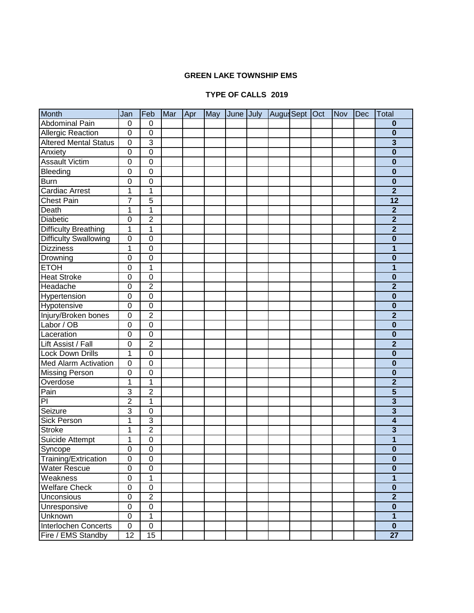## **GREEN LAKE TOWNSHIP EMS**

## **TYPE OF CALLS 2018 2019**

| <b>Month</b>                 | Jan            | Feb              | Mar | Apr | May | June July | Augus Sept Oct |  | Nov | Dec | <b>Total</b>            |
|------------------------------|----------------|------------------|-----|-----|-----|-----------|----------------|--|-----|-----|-------------------------|
| <b>Abdominal Pain</b>        | 0              | 0                |     |     |     |           |                |  |     |     | $\bf{0}$                |
| <b>Allergic Reaction</b>     | $\mathbf 0$    | $\mathbf 0$      |     |     |     |           |                |  |     |     | $\bf{0}$                |
| <b>Altered Mental Status</b> | $\mathbf 0$    | $\overline{3}$   |     |     |     |           |                |  |     |     | 3                       |
| Anxiety                      | $\mathbf 0$    | $\mathbf 0$      |     |     |     |           |                |  |     |     | $\bf{0}$                |
| <b>Assault Victim</b>        | $\overline{0}$ | $\mathbf 0$      |     |     |     |           |                |  |     |     | $\bf{0}$                |
| Bleeding                     | $\mathbf 0$    | $\mathbf 0$      |     |     |     |           |                |  |     |     | $\bf{0}$                |
| <b>Burn</b>                  | $\mathbf 0$    | $\mathbf 0$      |     |     |     |           |                |  |     |     | $\bf{0}$                |
| <b>Cardiac Arrest</b>        | 1              | 1                |     |     |     |           |                |  |     |     | $\overline{2}$          |
| <b>Chest Pain</b>            | $\overline{7}$ | $\overline{5}$   |     |     |     |           |                |  |     |     | $\overline{12}$         |
| Death                        | 1              | 1                |     |     |     |           |                |  |     |     | $\mathbf{2}$            |
| Diabetic                     | $\mathbf 0$    | $\overline{2}$   |     |     |     |           |                |  |     |     | $\overline{2}$          |
| <b>Difficulty Breathing</b>  | 1              | $\overline{1}$   |     |     |     |           |                |  |     |     | $\overline{2}$          |
| <b>Difficulty Swallowing</b> | $\mathbf 0$    | $\overline{0}$   |     |     |     |           |                |  |     |     | $\overline{\mathbf{0}}$ |
| <b>Dizziness</b>             | 1              | $\overline{0}$   |     |     |     |           |                |  |     |     | $\overline{\mathbf{1}}$ |
| Drowning                     | $\mathbf 0$    | $\mathbf 0$      |     |     |     |           |                |  |     |     | $\bf{0}$                |
| <b>ETOH</b>                  | $\mathbf 0$    | 1                |     |     |     |           |                |  |     |     | 1                       |
| <b>Heat Stroke</b>           | 0              | $\overline{0}$   |     |     |     |           |                |  |     |     | $\bf{0}$                |
| Headache                     | $\mathbf 0$    | $\overline{c}$   |     |     |     |           |                |  |     |     | $\overline{2}$          |
| Hypertension                 | $\mathbf 0$    | $\mathbf 0$      |     |     |     |           |                |  |     |     | $\bf{0}$                |
| Hypotensive                  | $\mathbf 0$    | $\mathbf 0$      |     |     |     |           |                |  |     |     | $\bf{0}$                |
| Injury/Broken bones          | $\overline{0}$ | $\overline{2}$   |     |     |     |           |                |  |     |     | $\overline{2}$          |
| Labor / OB                   | $\mathbf 0$    | $\overline{0}$   |     |     |     |           |                |  |     |     | $\bf{0}$                |
| Laceration                   | $\mathbf 0$    | $\overline{0}$   |     |     |     |           |                |  |     |     | $\bf{0}$                |
| Lift Assist / Fall           | $\mathbf 0$    | $\overline{2}$   |     |     |     |           |                |  |     |     | $\overline{2}$          |
| <b>Lock Down Drills</b>      | $\overline{1}$ | $\overline{0}$   |     |     |     |           |                |  |     |     | $\bf{0}$                |
| <b>Med Alarm Activation</b>  | $\overline{0}$ | $\overline{0}$   |     |     |     |           |                |  |     |     | $\bf{0}$                |
| <b>Missing Person</b>        | $\overline{0}$ | $\overline{0}$   |     |     |     |           |                |  |     |     | $\bf{0}$                |
| Overdose                     | 1              | $\mathbf 1$      |     |     |     |           |                |  |     |     | $\overline{2}$          |
| Pain                         | $\overline{3}$ | $\overline{2}$   |     |     |     |           |                |  |     |     | $\overline{\mathbf{5}}$ |
| PI                           | $\overline{2}$ | $\mathbf 1$      |     |     |     |           |                |  |     |     | $\overline{\mathbf{3}}$ |
| Seizure                      | $\overline{3}$ | $\mathbf 0$      |     |     |     |           |                |  |     |     | $\overline{\mathbf{3}}$ |
| Sick Person                  | 1              | $\overline{3}$   |     |     |     |           |                |  |     |     | $\overline{\mathbf{4}}$ |
| <b>Stroke</b>                | 1              | $\overline{2}$   |     |     |     |           |                |  |     |     | 3                       |
| Suicide Attempt              | 1              | $\boldsymbol{0}$ |     |     |     |           |                |  |     |     | 1                       |
| Syncope                      | 0              | $\overline{0}$   |     |     |     |           |                |  |     |     | $\bf{0}$                |
| Training/Extrication         | 0              | $\boldsymbol{0}$ |     |     |     |           |                |  |     |     | $\bf{0}$                |
| <b>Water Rescue</b>          | $\overline{0}$ | $\overline{0}$   |     |     |     |           |                |  |     |     | $\overline{\mathbf{0}}$ |
| Weakness                     | $\overline{0}$ | $\mathbf 1$      |     |     |     |           |                |  |     |     | $\mathbf{1}$            |
| <b>Welfare Check</b>         | $\overline{0}$ | $\overline{0}$   |     |     |     |           |                |  |     |     | $\mathbf 0$             |
| <b>Unconsious</b>            | $\overline{0}$ | $\overline{2}$   |     |     |     |           |                |  |     |     | $\overline{2}$          |
| Unresponsive                 | $\mathbf 0$    | $\overline{0}$   |     |     |     |           |                |  |     |     | $\bf{0}$                |
| Unknown                      | $\overline{0}$ | $\overline{1}$   |     |     |     |           |                |  |     |     | $\overline{1}$          |
| Interlochen Concerts         | $\overline{0}$ | $\overline{0}$   |     |     |     |           |                |  |     |     | $\mathbf 0$             |
| Fire / EMS Standby           | 12             | 15               |     |     |     |           |                |  |     |     | $\overline{27}$         |